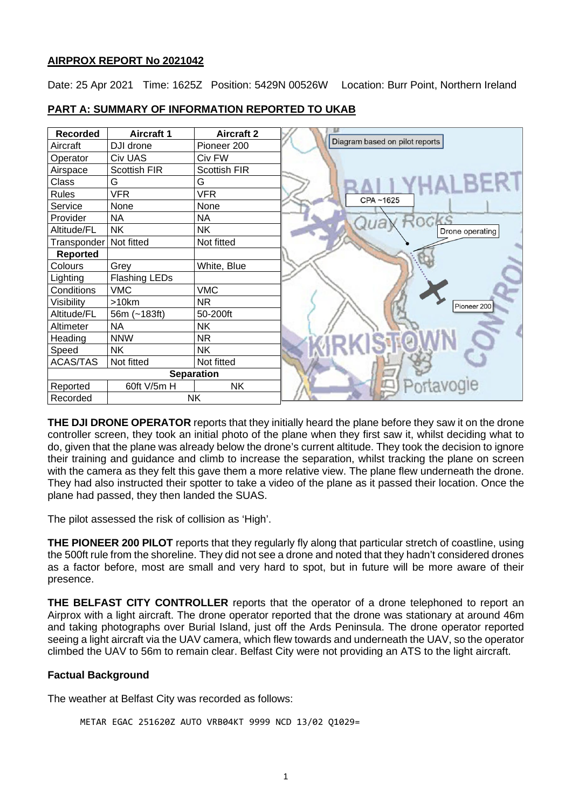# **AIRPROX REPORT No 2021042**

Date: 25 Apr 2021 Time: 1625Z Position: 5429N 00526W Location: Burr Point, Northern Ireland



# **PART A: SUMMARY OF INFORMATION REPORTED TO UKAB**

**THE DJI DRONE OPERATOR** reports that they initially heard the plane before they saw it on the drone controller screen, they took an initial photo of the plane when they first saw it, whilst deciding what to do, given that the plane was already below the drone's current altitude. They took the decision to ignore their training and guidance and climb to increase the separation, whilst tracking the plane on screen with the camera as they felt this gave them a more relative view. The plane flew underneath the drone. They had also instructed their spotter to take a video of the plane as it passed their location. Once the plane had passed, they then landed the SUAS.

The pilot assessed the risk of collision as 'High'.

**THE PIONEER 200 PILOT** reports that they regularly fly along that particular stretch of coastline, using the 500ft rule from the shoreline. They did not see a drone and noted that they hadn't considered drones as a factor before, most are small and very hard to spot, but in future will be more aware of their presence.

**THE BELFAST CITY CONTROLLER** reports that the operator of a drone telephoned to report an Airprox with a light aircraft. The drone operator reported that the drone was stationary at around 46m and taking photographs over Burial Island, just off the Ards Peninsula. The drone operator reported seeing a light aircraft via the UAV camera, which flew towards and underneath the UAV, so the operator climbed the UAV to 56m to remain clear. Belfast City were not providing an ATS to the light aircraft.

# **Factual Background**

The weather at Belfast City was recorded as follows:

METAR EGAC 251620Z AUTO VRB04KT 9999 NCD 13/02 Q1029=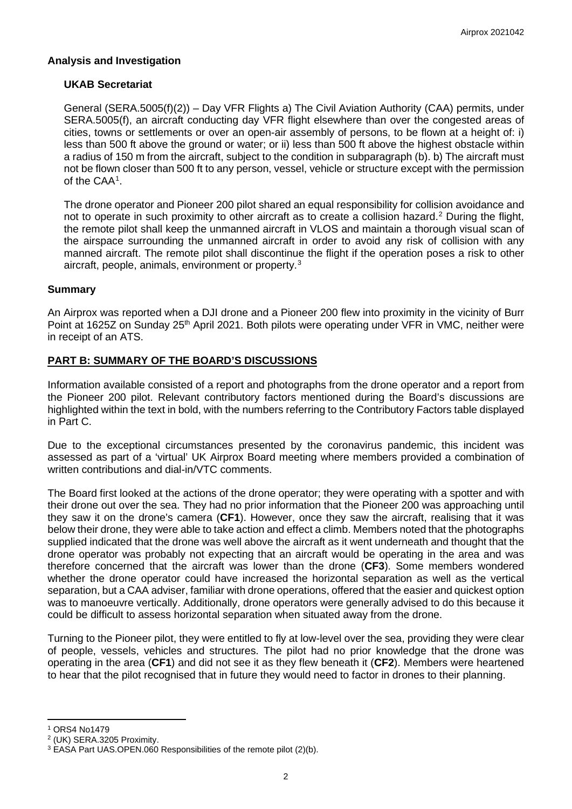# **Analysis and Investigation**

## **UKAB Secretariat**

General (SERA.5005(f)(2)) – Day VFR Flights a) The Civil Aviation Authority (CAA) permits, under SERA.5005(f), an aircraft conducting day VFR flight elsewhere than over the congested areas of cities, towns or settlements or over an open-air assembly of persons, to be flown at a height of: i) less than 500 ft above the ground or water; or ii) less than 500 ft above the highest obstacle within a radius of 150 m from the aircraft, subject to the condition in subparagraph (b). b) The aircraft must not be flown closer than 500 ft to any person, vessel, vehicle or structure except with the permission of the CAA[1](#page-1-0) .

The drone operator and Pioneer 200 pilot shared an equal responsibility for collision avoidance and not to operate in such proximity to other aircraft as to create a collision hazard. [2](#page-1-1) During the flight, the remote pilot shall keep the unmanned aircraft in VLOS and maintain a thorough visual scan of the airspace surrounding the unmanned aircraft in order to avoid any risk of collision with any manned aircraft. The remote pilot shall discontinue the flight if the operation poses a risk to other aircraft, people, animals, environment or property.[3](#page-1-2)

## **Summary**

An Airprox was reported when a DJI drone and a Pioneer 200 flew into proximity in the vicinity of Burr Point at 1625Z on Sunday 25<sup>th</sup> April 2021. Both pilots were operating under VFR in VMC, neither were in receipt of an ATS.

# **PART B: SUMMARY OF THE BOARD'S DISCUSSIONS**

Information available consisted of a report and photographs from the drone operator and a report from the Pioneer 200 pilot. Relevant contributory factors mentioned during the Board's discussions are highlighted within the text in bold, with the numbers referring to the Contributory Factors table displayed in Part C.

Due to the exceptional circumstances presented by the coronavirus pandemic, this incident was assessed as part of a 'virtual' UK Airprox Board meeting where members provided a combination of written contributions and dial-in/VTC comments.

The Board first looked at the actions of the drone operator; they were operating with a spotter and with their drone out over the sea. They had no prior information that the Pioneer 200 was approaching until they saw it on the drone's camera (**CF1**). However, once they saw the aircraft, realising that it was below their drone, they were able to take action and effect a climb. Members noted that the photographs supplied indicated that the drone was well above the aircraft as it went underneath and thought that the drone operator was probably not expecting that an aircraft would be operating in the area and was therefore concerned that the aircraft was lower than the drone (**CF3**). Some members wondered whether the drone operator could have increased the horizontal separation as well as the vertical separation, but a CAA adviser, familiar with drone operations, offered that the easier and quickest option was to manoeuvre vertically. Additionally, drone operators were generally advised to do this because it could be difficult to assess horizontal separation when situated away from the drone.

Turning to the Pioneer pilot, they were entitled to fly at low-level over the sea, providing they were clear of people, vessels, vehicles and structures. The pilot had no prior knowledge that the drone was operating in the area (**CF1**) and did not see it as they flew beneath it (**CF2**). Members were heartened to hear that the pilot recognised that in future they would need to factor in drones to their planning.

<span id="page-1-0"></span><sup>1</sup> ORS4 No1479

<span id="page-1-1"></span><sup>2</sup> (UK) SERA.3205 Proximity.

<span id="page-1-2"></span><sup>3</sup> EASA Part UAS.OPEN.060 Responsibilities of the remote pilot (2)(b).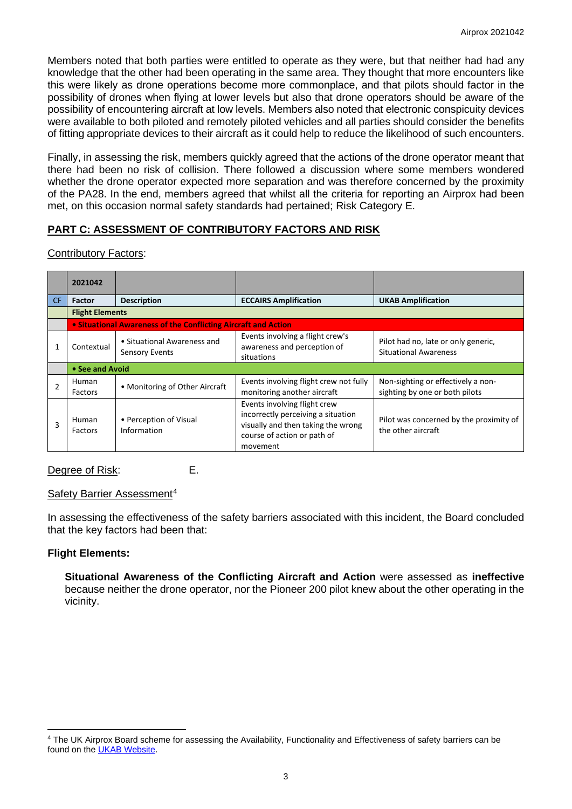Members noted that both parties were entitled to operate as they were, but that neither had had any knowledge that the other had been operating in the same area. They thought that more encounters like this were likely as drone operations become more commonplace, and that pilots should factor in the possibility of drones when flying at lower levels but also that drone operators should be aware of the possibility of encountering aircraft at low levels. Members also noted that electronic conspicuity devices were available to both piloted and remotely piloted vehicles and all parties should consider the benefits of fitting appropriate devices to their aircraft as it could help to reduce the likelihood of such encounters.

Finally, in assessing the risk, members quickly agreed that the actions of the drone operator meant that there had been no risk of collision. There followed a discussion where some members wondered whether the drone operator expected more separation and was therefore concerned by the proximity of the PA28. In the end, members agreed that whilst all the criteria for reporting an Airprox had been met, on this occasion normal safety standards had pertained; Risk Category E.

# **PART C: ASSESSMENT OF CONTRIBUTORY FACTORS AND RISK**

## Contributory Factors:

|                | 2021042                                                        |                                                      |                                                                                                                                                     |                                                                      |
|----------------|----------------------------------------------------------------|------------------------------------------------------|-----------------------------------------------------------------------------------------------------------------------------------------------------|----------------------------------------------------------------------|
| CF.            | <b>Factor</b>                                                  | <b>Description</b>                                   | <b>ECCAIRS Amplification</b>                                                                                                                        | <b>UKAB Amplification</b>                                            |
|                | <b>Flight Elements</b>                                         |                                                      |                                                                                                                                                     |                                                                      |
|                | • Situational Awareness of the Conflicting Aircraft and Action |                                                      |                                                                                                                                                     |                                                                      |
|                | Contextual                                                     | • Situational Awareness and<br><b>Sensory Events</b> | Events involving a flight crew's<br>awareness and perception of<br>situations                                                                       | Pilot had no, late or only generic,<br><b>Situational Awareness</b>  |
|                | • See and Avoid                                                |                                                      |                                                                                                                                                     |                                                                      |
| $\overline{2}$ | Human<br>Factors                                               | • Monitoring of Other Aircraft                       | Events involving flight crew not fully<br>monitoring another aircraft                                                                               | Non-sighting or effectively a non-<br>sighting by one or both pilots |
| 3              | Human<br><b>Factors</b>                                        | • Perception of Visual<br>Information                | Events involving flight crew<br>incorrectly perceiving a situation<br>visually and then taking the wrong<br>course of action or path of<br>movement | Pilot was concerned by the proximity of<br>the other aircraft        |

# Degree of Risk: E.

## Safety Barrier Assessment<sup>[4](#page-2-0)</sup>

In assessing the effectiveness of the safety barriers associated with this incident, the Board concluded that the key factors had been that:

## **Flight Elements:**

**Situational Awareness of the Conflicting Aircraft and Action** were assessed as **ineffective** because neither the drone operator, nor the Pioneer 200 pilot knew about the other operating in the vicinity.

<span id="page-2-0"></span><sup>4</sup> The UK Airprox Board scheme for assessing the Availability, Functionality and Effectiveness of safety barriers can be found on the [UKAB Website.](http://www.airproxboard.org.uk/Learn-more/Airprox-Barrier-Assessment/)